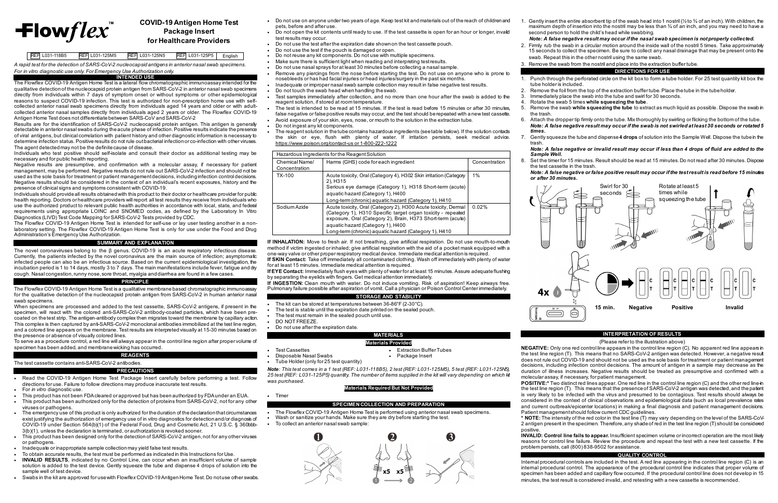# $\pm$ lowflex $\overline{\phantom{a}}$

## **COVID-19 Antigen Home Test Package Insert for Healthcare Providers**

**REF L031-118B5** REF L031-125M5 REF L031-125N5 REF L031-125P5 English

*A rapid test for the detection of SARS-CoV-2 nucleocapsid antigens in anterior nasal swab specimens. For in vitro diagnostic use only. For Emergency Use Authorization only.*

### **INTENDED USE**

The Flow*flex* COVID-19 Antigen Home Test is a lateral flow chromatographic immunoassay intended for the qualitative detection of the nucleocapsid protein antigen from SARS-CoV-2 in anterior nasal swab specimens directly from individuals within 7 days of symptom onset or without symptoms or other epidemiological reasons to suspect COVID-19 infection. This test is authorized for non-prescription home use with selfcollected anterior nasal swab specimens directly from individuals aged 14 years and older or with adultcollected anterior nasal samples directly from individuals aged 2 years or older. The Flow*flex* COVID-19 Antigen Home Test does not differentiate between SARS-CoV and SARS-CoV-2

Results are for the identification of SARS-CoV-2 nucleocapsid protein antigen. This antigen is generally detectable in anterior nasal swabs during the acute phase of infection. Positive results indicate the presence of viral antigens, but clinical correlation with patient history and other diagnostic information is necessary to determine infection status. Positive results do not rule out bacterial infection or co-infection with other viruses. The agent detected may not be the definite cause of disease.

Individuals who test positive should self-isolate and consult their doctor as additional testing may be necessary and for public health reporting.

Negative results are presumptive, and confirmation with a molecular assay, if necessary for patient management, may be performed. Negative results do not rule out SARS-CoV-2 infection and should not be used as the sole basis for treatment or patient management decisions, including infection control decisions. Negative results should be considered in the context of an individual's recent exposures, history and the presence of clinical signs and symptoms consistent with COVID-19.

Individuals should provide all results obtained with this product to their doctor or healthcare provider for public health reporting. Doctors or healthcare providers will report all test results they receive from individuals who use the authorized product to relevant public health authorities in accordance with local, state, and federal requirements using appropriate LOINC and SNOMED codes, as defined by the Laboratory In Vitro Diagnostics (LIVD) Test Code Mapping for SARS-CoV-2 Tests provided by CDC.

The Flow*flex* COVID-19 Antigen Home Test is intended for self-use or lay user testing another in a nonlaboratory setting. The Flow*flex* COVID-19 Antigen Home Test is only for use under the Food and Drug Administration's Emergency Use Authorization.

### **SUMMARY AND EXPLANATION**

The novel coronaviruses belong to the β genus. COVID-19 is an acute respiratory infectious disease. Currently, the patients infected by the novel coronavirus are the main source of infection; asymptomatic infected people can also be an infectious source. Based on the current epidemiological investigation, the incubation period is 1 to 14 days, mostly 3 to 7 days. The main manifestations include fever, fatigue and dry cough. Nasal congestion, runny nose, sore throat, myalgia and diarrhea are found in a few cases.

### **PRINCIPLE**

The Flow*flex* COVID-19 Antigen Home Test is a qualitative membrane based chromatographic immunoassay for the qualitative detection of the nucleocapsid protein antigen from SARS-CoV-2 in human anterior nasal swab specimens.

When specimens are processed and added to the test cassette, SARS-CoV-2 antigens, if present in the specimen, will react with the colored anti-SARS-CoV-2 antibody-coated particles, which have been precoated on the test strip. The antigen-antibody complex then migrates toward the membrane by capillary action. This complex is then captured by anti-SARS-CoV-2 monoclonal antibodies immobilized at the test line region, and a colored line appears on the membrane. Test results are interpreted visually at 15-30 minutes based on the presence or absence of visually colored lines.

To serve as a procedure control, a red line will always appear in the control line region after proper volume of specimen has been added, and membrane wicking has occurred.

### **REAGENT**

The test cassette contains anti-SARS-CoV-2 antibodies.

- The kit can be stored at temperatures between 36-86°F (2-30°C).
- The test is stable until the expiration date printed on the sealed pouch.
- The test must remain in the sealed pouch until use.
- DO NOT FREEZE.

• Disposable Nasal Swabs

- **PRECAUTIONS**
- Read the COVID-19 Antigen Home Test Package Insert carefully before performing a test. Follow directions for use. Failure to follow directions may produce inaccurate test results.
- For *in vitro* diagnostic use.
- This product has not been FDA cleared or approved but has been authorized by FDA under an EUA.
- This product has been authorized only for the detection of proteins from SARS-CoV-2, not for any other viruses or pathogens.
- The emergency use of this product is only authorized for the duration of the declaration that circumstances exist justifying the authorization of emergency use of in vitro diagnostics for detection and/or diagnosis of COVID-19 under Section 564(b)(1) of the Federal Food, Drug and Cosmetic Act, 21 U.S.C. § 360bbb-3(b)(1), unless the declaration is terminated, or authorization is revoked sooner.
- This product has been designed only for the detection of SARS-CoV-2 antigen, not for any other viruses or pathogens.
- Inadequate or inappropriate sample collection may yield false test results.
- To obtain accurate results, the test must be performed as indicated in this Instructions for Use.
- **INVALID RESULTS**, indicated by no Control Line, can occur when an insufficient volume of sample solution is added to the test device. Gently squeeze the tube and dispense 4 drops of solution into the sample well of test device.
- Swabs in the kit are approved for use with Flow*flex* COVID-19 Antigen Home Test. Do not use other swabs.

1. Gently insert the entire absorbent tip of the swab head into 1 nostril ( $\frac{1}{2}$  to  $\frac{3}{4}$  of an inch). With children, the maximum depth of insertion into the nostril may be less than ¾ of an inch, and you may need to have a second person to hold the child's head while swabbing.

- Do not use on anyone under two years of age. Keep test kit and materials out of the reach of children and pets, before and after use.
- Do not open the kit contents until ready to use. If the test cassette is open for an hour or longer, invalid test results may occur.
- Do not use the test after the expiration date shown on the test cassette pouch.
- Do not use the test if the pouch is damaged or open.
- Do not reuse any kit components. Do not use with multiple specimens.
- Make sure there is sufficient light when reading and interpreting test results.
- Do not use nasal sprays for at least 30 minutes before collecting a nasal sample.
- Remove any piercings from the nose before starting the test. Do not use on anyone who is prone to nosebleeds or has had facial injuries or head injuries/surgery in the past six months. • Inadequate or improper nasal swab sample collection may result in false negative test results.
- Do not touch the swab head when handling the swab.
- Test samples immediately after collection, and no more than one hour after the swab is added to the reagent solution, if stored at room temperature.
- The test is intended to be read at 15 minutes. If the test is read before 15 minutes or after 30 minutes, false negative or false positive results may occur, and the test should be repeated with a new test cassette.
- Avoid exposure of your skin, eyes, nose, or mouth to the solution in the extraction tube.
- Do not ingest any kit components.
- The reagent solution in the tube contains hazardous ingredients (see table below). If the solution contacts the skin or eye, flush with plenty of water. If irritation persists, seek medical advice. [https://www.poison.org/contact-us or 1-800-222-1222](https://www.poison.org/contact-us%20or%201-800-222-1222)

| Hazardous Ingredients for the Reagent Solution |                                                                                                                                                                                                                                                                                             |               |  |  |
|------------------------------------------------|---------------------------------------------------------------------------------------------------------------------------------------------------------------------------------------------------------------------------------------------------------------------------------------------|---------------|--|--|
| Chemical Name/<br>Concentration                | Harms (GHS) code for each ingredient                                                                                                                                                                                                                                                        | Concentration |  |  |
| TX-100                                         | Acute toxicity, Oral (Category 4), H302 Skin irritation (Category<br>2), H315<br>Serious eye damage (Category 1), H318 Short-term (acute)<br>aquatic hazard (Category 1), H400<br>Long-term (chronic) aguatic hazard (Category 1), H410                                                     | 1%            |  |  |
| Sodium Azide                                   | Acute toxicity, Oral (Category 2), H300 Acute toxicity, Dermal<br>(Category 1), H310 Specific target organ toxicity - repeated<br>exposure, Oral (Category 2), Brain, H373 Short-term (acute)<br>aquatic hazard (Category 1), H400<br>Long-term (chronic) aquatic hazard (Category 1), H410 | 0.02%         |  |  |

**If INHALATION:** Move to fresh air. If not breathing, give artificial respiration. Do not use mouth-to-mouth method if victim ingested or inhaled; give artificial respiration with the aid of a pocket mask equipped with a one-way valve or other proper respiratory medical device. Immediate medical attention is required. **If SKIN Contact:** Take off immediately all contaminated clothing. Wash off immediately with plenty of water

for at least 15 minutes. Immediate medical attention is required. **If EYE Contact:** Immediately flush eyes with plenty of water for at least 15 minutes. Assure adequate flushing

by separating the eyelids with fingers. Get medical attention immediately. **If INGESTION:** Clean mouth with water. Do not induce vomiting. Risk of aspiration! Keep airways free. Pulmonary failure possible after aspiration of vomit. Call a physician or Poison Control Center immediately.

### **STORAGE AND STABILITY**

• Do not use after the expiration date.

### **MATERIALS Materials Provided**

- 
- Test Cassettes Extraction Buffer Tubes
- Tube Holder (only for 25 test quantity)

*Note: This test comes in a 1 test (REF: L031-118B5), 2 test (REF: L031-125M5), 5 test (REF: L031-125N5),* 25 test (REF: L031-125P5) *quantity. The number of items supplied in the kit will vary depending on which kit was purchased*.

### **Materials Required But Not Provided**

• Timer

### **SPECIMEN COLLECTION AND PREPARATION**

- The Flow*flex* COVID-19 Antigen Home Test is performed using anterior nasal swab specimens.
- Wash or sanitize your hands. Make sure they are dry before starting the test.
- To collect an anterior nasal swab sample:



- 
- 
- 

### *Note: A false negative result may occur if the nasal swab specimen is not properly collected.*

2. Firmly rub the swab in a circular motion around the inside wall of the nostril 5 times. Take approximately 15 seconds to collect the specimen. Be sure to collect any nasal drainage that may be present onto the swab. Repeat this in the other nostril using the same swab.

3. Remove the swab from the nostril and place into the extraction buffer tube.

### **DIRECTIONS FOR USE**

1. Punch through the perforated circle on the kit box to form a tube holder. For 25 test quantity kit box the

Remove the foil from the top of the extraction buffer tube. Place the tube in the tube holder.

3. Immediately place the swab into the tube and swirl for 30 seconds.

# 4. Rotate the swab 5 times **while squeezing the tube**.

5. Remove the swab **while squeezing the tube** to extract as much liquid as possible. Dispose the swab in

- tube holder is included.
- 
- 
- the trash.
- *times.*
- trash.

6. Attach the dropper tip firmly onto the tube. Mix thoroughly by swirling or flicking the bottom of the tube. *Note: A false negative result may occur if the swab is not swirled at least 30 seconds or rotated 5*

7. Gently squeeze the tube and dispense **4 drops** of solution into the Sample Well. Dispose the tube in the

### *Note: A false negative or invalid result may occur if less than 4 drops of fluid are added to the*

*Sample Well.*

8. Set the timer for 15 minutes. Result should be read at 15 minutes. Do not read after 30 minutes. Dispose

the test cassette in the trash. *or after 30 minutes.*

# *Note: A false negative or false positive result may occur if the test result is read before 15 minutes*

### **INTERPRETATION OF RESULTS**

(Please refer to the illustration above)

**NEGATIVE:** Only one red control line appears in the control line region (C). No apparent red line appears in the test line region (T). This means that no SARS-CoV-2 antigen was detected. However, a negative result does not rule out COVID-19 and should not be used as the sole basis for treatment or patient management decisions, including infection control decisions. The amount of antigen in a sample may decrease as the duration of illness increases. Negative results should be treated as presumptive and confirmed with a molecular assay, if necessary, for patient management.

**POSITIVE:\*** Two distinct red lines appear. One red line in the control line region (C) and the other red line in the test line region (T). This means that the presence of SARS-CoV-2 antigen was detected,and the patient is very likely to be infected with the virus and presumed to be contagious. Test results should always be considered in the context of clinical observations and epidemiological data (such as local prevalence rates and current outbreak/epicenter locations) in making a final diagnosis and patient management decisions. Patient management should follow current CDC guidelines.

**\* NOTE:** The intensity of the red color in the test line (T) may vary depending on the level of the SARS-CoV-2 antigen present in the specimen. Therefore, any shade of red in the test line region (T) should be considered

positive.

**INVALID: Control line fails to appear.** Insufficient specimen volume or incorrect operation are the most likely reasons for control line failure. Review the procedure and repeat the test with a new test cassette. If the problem persists, call (800) 838-9502 for assistance.

### **QUALITY CONTROL**

Internal procedural controls are included in the test. A red line appearing in the control line region (C) is an internal procedural control. The appearance of the procedural control line indicates that proper volume of specimen has been added and capillary flow occurred. If the procedural control line does not develop in 15 minutes, the test result is considered invalid, and retesting with a new cassette is recommended.



| SARS-CoV-2<br>ë |  |
|-----------------|--|
|                 |  |